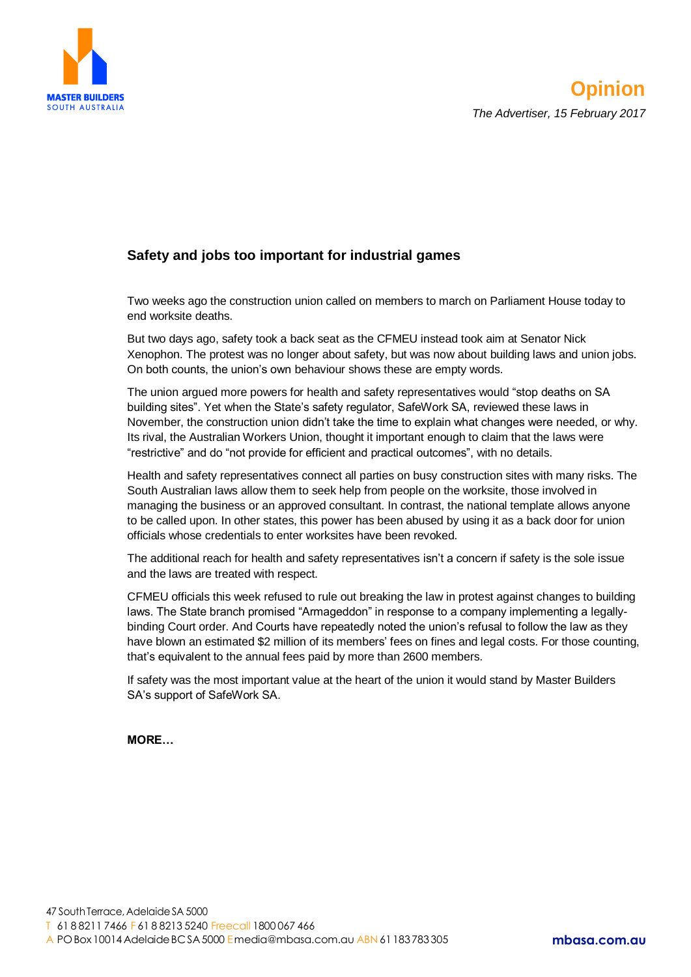

## **Safety and jobs too important for industrial games**

Two weeks ago the construction union called on members to march on Parliament House today to end worksite deaths.

But two days ago, safety took a back seat as the CFMEU instead took aim at Senator Nick Xenophon. The protest was no longer about safety, but was now about building laws and union jobs. On both counts, the union's own behaviour shows these are empty words.

The union argued more powers for health and safety representatives would "stop deaths on SA building sites". Yet when the State's safety regulator, SafeWork SA, reviewed these laws in November, the construction union didn't take the time to explain what changes were needed, or why. Its rival, the Australian Workers Union, thought it important enough to claim that the laws were "restrictive" and do "not provide for efficient and practical outcomes", with no details.

Health and safety representatives connect all parties on busy construction sites with many risks. The South Australian laws allow them to seek help from people on the worksite, those involved in managing the business or an approved consultant. In contrast, the national template allows anyone to be called upon. In other states, this power has been abused by using it as a back door for union officials whose credentials to enter worksites have been revoked.

The additional reach for health and safety representatives isn't a concern if safety is the sole issue and the laws are treated with respect.

CFMEU officials this week refused to rule out breaking the law in protest against changes to building laws. The State branch promised "Armageddon" in response to a company implementing a legallybinding Court order. And Courts have repeatedly noted the union's refusal to follow the law as they have blown an estimated \$2 million of its members' fees on fines and legal costs. For those counting, that's equivalent to the annual fees paid by more than 2600 members.

If safety was the most important value at the heart of the union it would stand by Master Builders SA's support of SafeWork SA.

**MORE…**